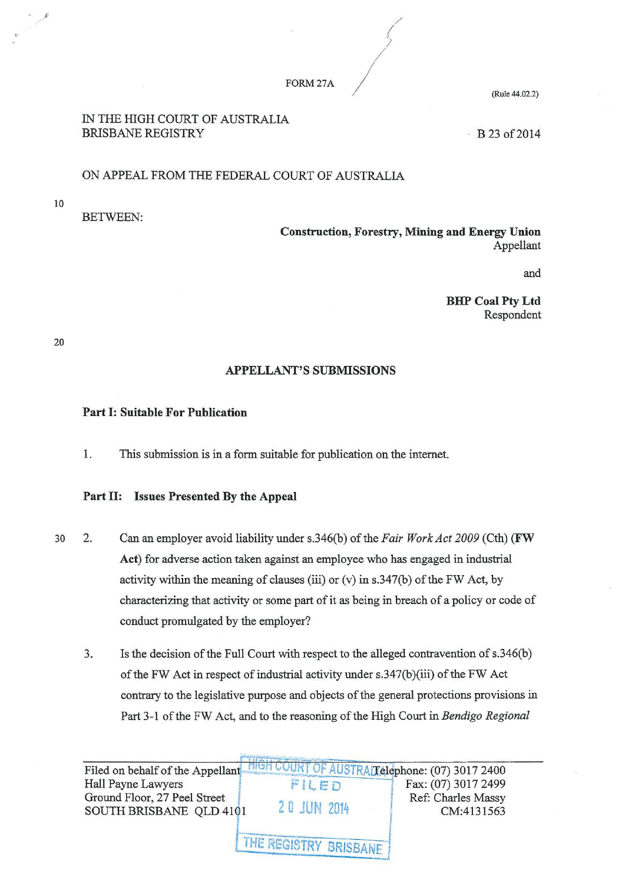#### FORM27A

(Rule 44.02.2)

### IN THE HIGH COURT OF AUSTRALIA BRISBANE REGISTRY

 $-B$  23 of 2014

## ON APPEAL FROM THE FEDERAL COURT OF AUSTRALIA

10

. '

BETWEEN:

Construction, Forestry, Mining and Energy Union Appellant

and

BliP Coal Pty Ltd Respondent

20

# APPELLANT'S SUBMISSIONS

### Part I: Suitable For Publication

1. This submission is in a form suitable for publication on the internet.

### Part II: Issues Presented By the Appeal

- 30 2. Can an employer avoid liability under s.346(b) of the *Fair Work Act 2009* (Cth) (FW Act) for adverse action taken against an employee who has engaged in industrial activity within the meaning of clauses (iii) or  $(v)$  in s.347(b) of the FW Act, by characterizing that activity or some part of it as being in breach of a policy or code of conduct promulgated by the employer?
	- 3. Is the decision of the Full Court with respect to the alleged contravention of s.346(b) of the FW Act in respect of industrial activity under  $s.347(b)(iii)$  of the FW Act contrary to the legislative purpose and objects of the general protections provisions in Part 3-1 of the FW Act, and to the reasoning of the High Court in *Bendigo Regional*

Filed on behalf of the Appellant HIGH COURT OF AUSTRAT elephone: (07) 3017 2400 Filed on behalf of the Appellant HIGH COURT OF AUSTRALT elephone: (07) 3017 2400<br>Hall Payne Lawyers FIL E D Fax: (07) 3017 2499 Ground Floor, 27 Peel Street 2 0 JUN 2014 Ref: Charles Massy SOUTH BRISBANE QLD 4101 2 0 JUN 2014 CM:4131563 THE REGISTRY BRISBANE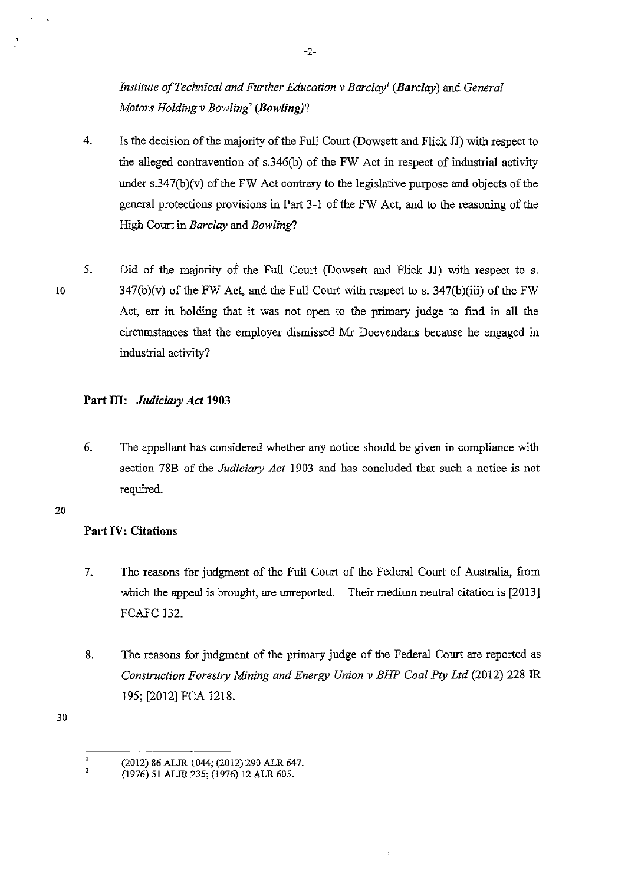*Institute ofTechnical and Further Education v Barclay! (Barclay)* and *General Motors Holdingv Bowling' (Bowling)?* 

- 4. Is the decision of the majority of the Full Court (Dowsett and Flick JJ) with respect to the alleged contravention of s.346(b) of the FW Act in respect of industrial activity under  $s.347(b)(v)$  of the FW Act contrary to the legislative purpose and objects of the general protections provisions in Part 3-1 of the FW Act, and to the reasoning of the High Court in *Barclay* and *Bowling?*
- 5. Did of the majority of the Full Court (Dowsett and Flick JJ) with respect to s.  $347(b)(v)$  of the FW Act, and the Full Court with respect to s.  $347(b)(iii)$  of the FW Act, err in holding that it was not open to the primary judge to find in all the circumstances that the employer dismissed Mr Doevendans because he engaged in industrial activity?

# **Part ill:** *Judiciary Act* **1903**

6. The appellant has considered whether any notice should be given in compliance with section 78B of the *Judiciary Act* 1903 and has concluded that such a notice is not required.

#### 20

10

 $\ddot{\phantom{a}}$ 

# **Part IV: Citations**

- 7. The reasons for judgment of the Full Court of the Federal Court of Australia, from which the appeal is brought, are unreported. Their medium neutral citation is [2013] FCAFC 132.
- 8. The reasons for judgment of the primary judge of the Federal Court are reported as *Construction Forestry Mining and Energy Union v BHP Coal Pty Ltd* (2012) 228 IR 195; [2012] FCA 1218.

 $\mathbf{I}$ (2012) 86 ALJR !044; (2012) 290 ALR 647.

<sup>2</sup>  (1976) 51 ALJR 235; (1976) 12 ALR 605.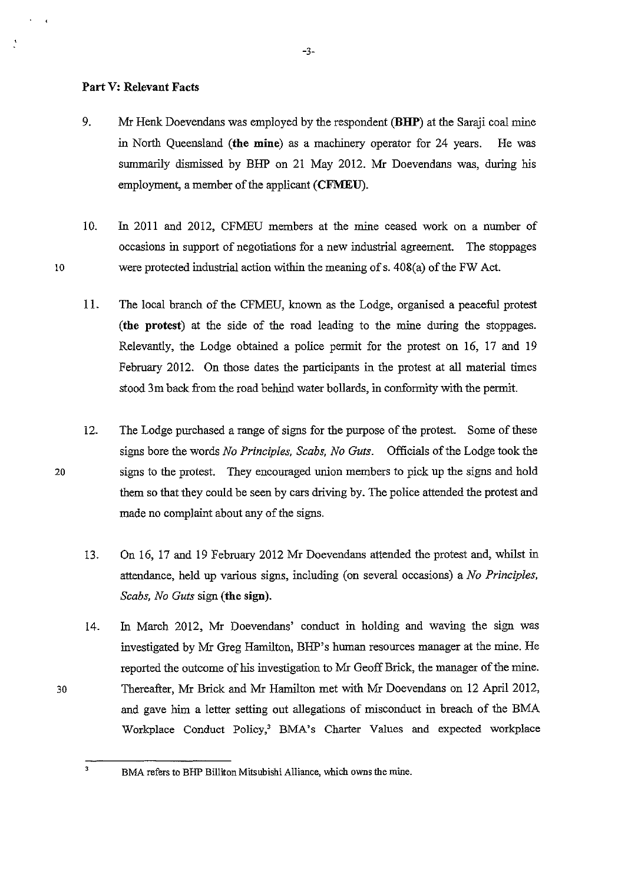#### **Part V: Relevant Facts**

- 9. Mr Henk Doevendans was employed by the respondent **(BHP)** at the Saraji coal mine in North Queensland **(the mine)** as a machinery operator for 24 years. He was summarily dismissed by BHP on 21 May 2012. Mr Doevendans was, during his employment, a member of the applicant **(CFMEU).**
- 10. In 2011 and 2012, CFMEU members at the mine ceased work on a number of occasions in support of negotiations for a new industrial agreement. The stoppages 10 were protected industrial action within the meaning of s. 408(a) of the FW Act.
	- 11. The local branch of the CFMEU, known as the Lodge, organised a peaceful protest **(the protest)** at the side of the road leading to the mine during the stoppages. Relevantly, the Lodge obtained a police permit for the protest on 16, 17 and 19 February 2012. On those dates the participants in the protest at all material times stood 3m back from the road behind water bollards, in conformity with the permit.
	- 12. The Lodge purchased a range of signs for the purpose of the protest. Some of these signs bore the words *No Principles, Scabs, No Guts.* Officials of the Lodge took the signs to the protest. They encouraged union members to pick up the signs and hold them so that they could be seen by cars driving by. The police attended the protest and made no complaint about any of the signs.
	- 13. On 16, 17 and 19 February 2012 Mr Doevendans attended the protest and, whilst in attendance, held up various signs, including (on several occasions) a *No Principles, Scabs, No Guts* sign **(the sign).**
	- 14. In March 2012, Mr Doevendans' conduct in holding and waving the sign was investigated by Mr Greg Hamilton, BHP's human resources manager at the mine. He reported the outcome of his investigation to Mr Geoff Brick, the manager of the mine. Thereafter, Mr Brick and Mr Hamilton met with Mr Doevendans on 12 April 2012, and gave him a letter setting out allegations of misconduct in breach of the BMA Workplace Conduct Policy,' BMA's Charter Values and expected workplace

20

 $\overline{1}$ 

30

BMA refers to BHP Billiton Mitsubishi Alliance, which owns the mine.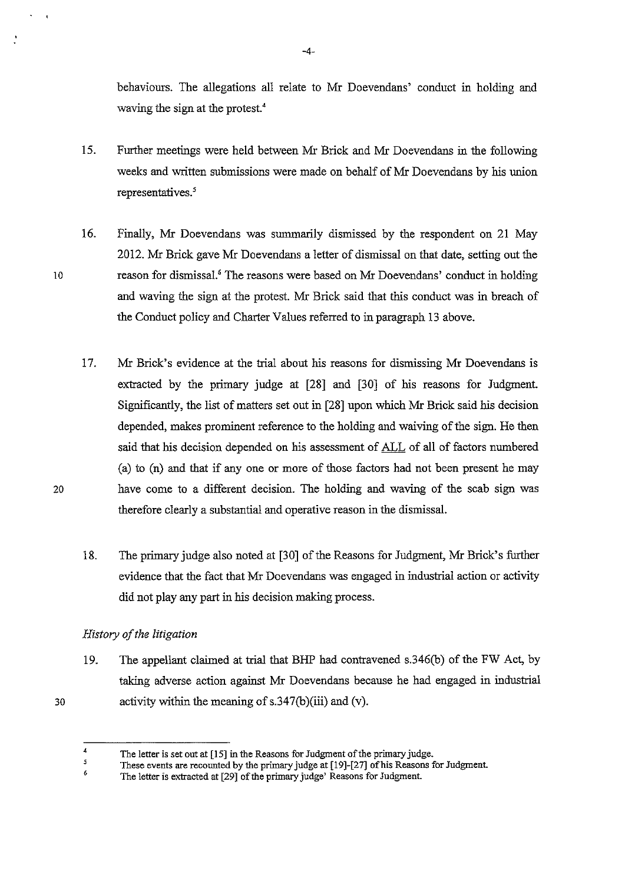behaviours. The allegations all relate to Mr Doevendans' conduct in holding and waving the sign at the protest.<

- 15. Further meetings were held between Mr Brick and Mr Doevendans in the following weeks and written submissions were made on behalf of Mr Doevendans by his union representatives. *<sup>5</sup>*
- 16. Finally, Mr Doevendans was summarily dismissed by the respondent on 21 May 2012. Mr Brick gave Mr Doevendans a letter of dismissal on that date, setting out the reason for dismissal.' The reasons were based on Mr Doevendans' conduct in holding and waving the sign at the protest. Mr Brick said that this conduct was in breach of the Conduct policy and Charter Values referred to in paragraph 13 above.
- 17. Mr Brick's evidence at the trial about his reasons for dismissing Mr Doevendans is extracted by the primary judge at [28] and [30] of his reasons for Judgment. Significantly, the list of matters set out in [28] upon which Mr Brick said his decision depended, makes prominent reference to the holding and waiving of the sign. He then said that his decision depended on his assessment of ALL of all of factors numbered (a) to (n) and that if any one or more of those factors had not been present he may have come to a different decision. The holding and waving of the scab sign was therefore clearly a substantial and operative reason in the dismissal.
- 18. The primary judge also noted at [30] of the Reasons for Judgment, Mr Brick's further evidence that the fact that Mr Doevendans was engaged in industrial action or activity did not play any part in his decision making process.

### *History of the litigation*

19. The appellant claimed at trial that BHP had contravened s.346(b) of the FW Act, by taking adverse action against Mr Doevendans because he had engaged in industrial activity within the meaning of s.347(b)(iii) and (v).

20

30

<sup>4</sup>  The letter is set out at [15] in the Reasons for Judgment of the primary judge.

*<sup>5</sup>*  These events are recounted by the primary judge at [19]-[27] of his Reasons for Judgment.

<sup>6</sup>  The letter is extracted at [29] of the primary judge' Reasons for Judgment.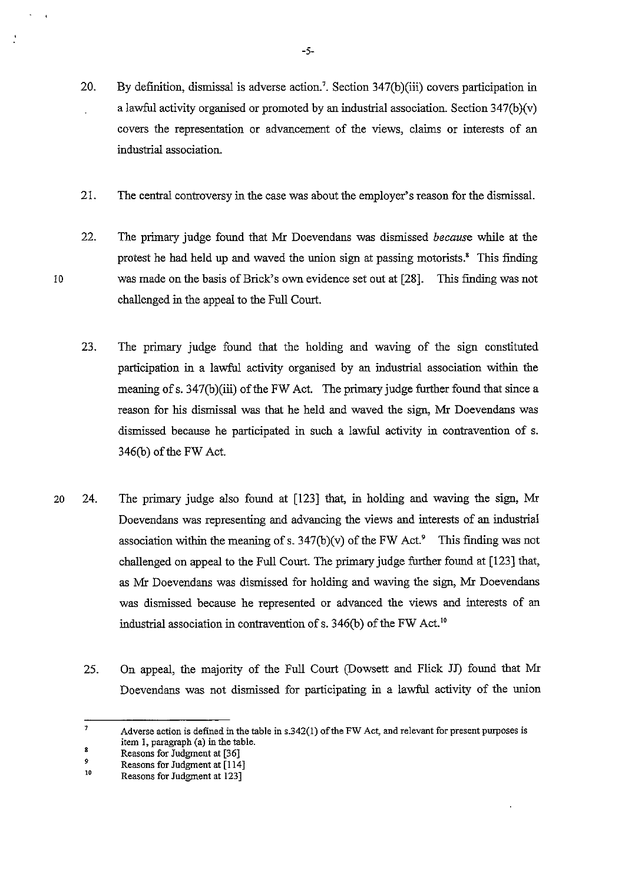- 21. The central controversy in the case was about the employer's reason for the dismissal.
- 22. The primary judge found that Mr Doevendans was dismissed *because* while at the protest he had held up and waved the union sign at passing motorists.' This finding was made on the basis of Brick's own evidence set out at [28]. This finding was not challenged in the appeal to the Full Court.
- 23. The primary judge found that the holding and waving of the sign constituted participation in a lawful activity organised by an industrial association within the meaning of s. 347(b)(iii) of the FW Act. The primary judge further found that since a reason for his dismissal was that he held and waved the sign, Mr Doevendans was dismissed because he participated in such a lawful activity in contravention of s. 346(b) of the FW Act.
- 20 24. The primary judge also found at [123] that, in holding and waving the sign, Mr Doevendans was representing and advancing the views and interests of an industrial association within the meaning of s.  $347(b)(v)$  of the FW Act.<sup>9</sup> This finding was not challenged on appeal to the Full Court. The primary judge further found at [123] that, as Mr Doevendans was dismissed for holding and waving the sign, Mr Doevendans was dismissed because he represented or advanced the views and interests of an industrial association in contravention of s. 346(b) of the FW Act. <sup>10</sup>
	- 25. On appeal, the majority of the Full Court (Dowsett and Flick JJ) found that Mr Doevendans was not dismissed for participating in a lawful activity of the union

<sup>7</sup>  8 Adverse action is defined in the table in  $s.342(1)$  of the FW Act, and relevant for present purposes is item I, paragraph (a) in the table.

<sup>9</sup>  Reasons for Judgment at (36]

Reasons for Judgment at [114]

<sup>10</sup>  Reasons for Judgment at 123]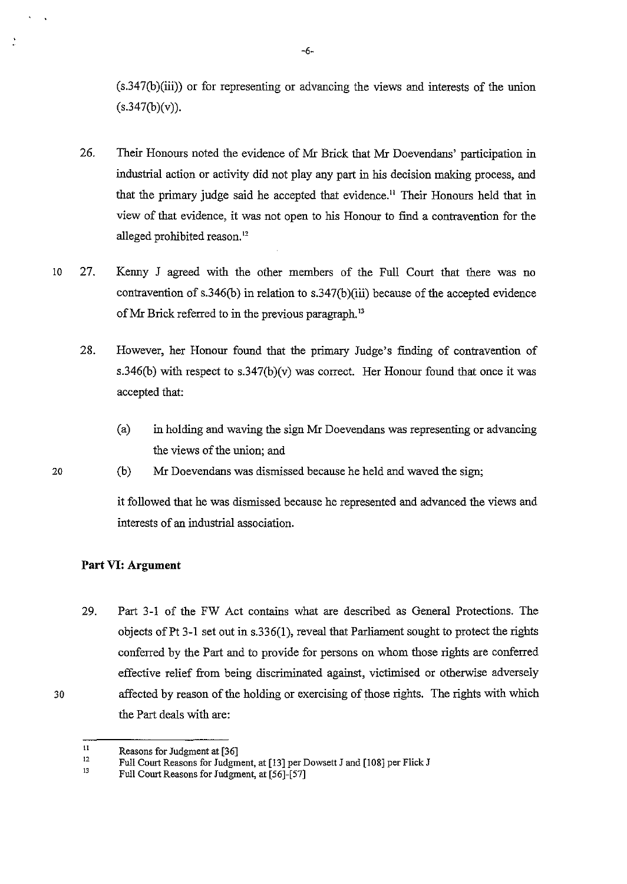(s.347(b)(iii)) or for representing or advancing the views and interests of the union  $(s.347(b)(v)).$ 

- 26. Their Honours noted the evidence of Mr Brick that Mr Doevendans' participation in industrial action or activity did not play any part in his decision making process, and that the primary judge said he accepted that evidence. 11 Their Honours held that in view of that evidence, it was not open to his Honour to find a contravention for the alleged prohibited reason."
- 10 27. Kenny J agreed with the other members of the Full Court that there was no contravention of s.346(b) in relation to s.347(b)(iii) because of the accepted evidence of Mr Brick referred to in the previous paragraph.<sup>13</sup>
	- 28. However, her Honour found that the primary Judge's finding of contravention of s.346(b) with respect to s.347(b)(v) was correct. Her Honour found that once it was accepted that:
		- (a) in holding and waving the sign Mr Doevendans was representing or advancing the views of the union; and
	- (b) Mr Doevendans was dismissed because he held and waved the sign;

it followed that he was dismissed because he represented and advanced the views and interests of an industrial association.

# **Part VI: Argument**

20

 $\ddot{.}$ 

30

29. Part 3-1 of the FW Act contains what are described as General Protections. The objects ofPt 3-1 set out in s.336(1), reveal that Parliament sought to protect the rights conferred by the Part and to provide for persons on whom those rights are conferred effective relief from being discriminated against, victimised or otherwise adversely affected by reason of the holding or exercising of those rights. The rights with which the Part deals with are:

-6-

II Reasons for Judgment at [36]

<sup>12</sup>  Full Court Reasons for Judgment, at [13] per Dowsett J and [108] per Flick J

<sup>13</sup>  Full Court Reasons for Judgment, at [56]-[57]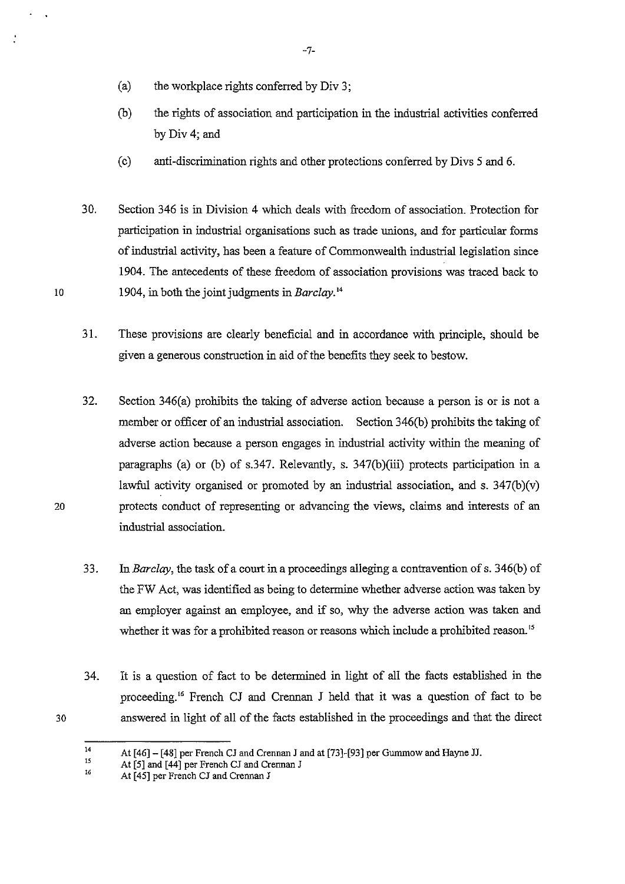- (a) the workplace rights conferred by Div 3;
- (b) the rights of association and participation in the industrial activities conferred byDiv4; and
- (c) anti-discrimination rights and other protections conferred by Divs 5 and 6.
- 30. Section 346 is in Division 4 which deals with freedom of association. Protection for participation in industrial organisations such as trade unions, and for particular forms of industrial activity, has been a feature of Commonwealth industrial legislation since 1904. The antecedents of these freedom of association provisions was traced back to 1904, in both the joint judgments in *Barclay. <sup>14</sup>*
- 31. These provisions are clearly beneficial and in accordance with principle, should be given a generous construction in aid of the benefits they seek to bestow.
- 32. Section  $346(a)$  prohibits the taking of adverse action because a person is or is not a member or officer of an industrial association. Section 346(b) prohibits the taking of adverse action because a person engages in industrial activity within the meaning of paragraphs (a) or (b) of s.347. Relevantly, s. 347(b)(iii) protects participation in a lawful activity organised or promoted by an industrial association, and s.  $347(b)(v)$ protects conduct of representing or advancing the views, claims and interests of an industrial association.
- 33. In *Barclay,* the task of a court in a proceedings alleging a contravention of s. 346(b) of the FW Act, was identified as being to determine whether adverse action was taken by an employer against an employee, and if so, why the adverse action was taken and whether it was for a prohibited reason or reasons which include a prohibited reason."
- 34. It is a question of fact to be determined in light of all the facts established in the proceeding.<sup>16</sup> French CJ and Crennan J held that it was a question of fact to be answered in light of all of the facts established in the proceedings and that the direct

 $\cdot$ 

20

30

-7-

<sup>14</sup>  At [46]- [48] per French CJ and Crennan J and at [73]-[93] per Gummow and Hayne JJ.

<sup>15</sup> At [5] and [44] per French CJ and Crennan J

<sup>16</sup>  At [45] per French CJ and Crennan J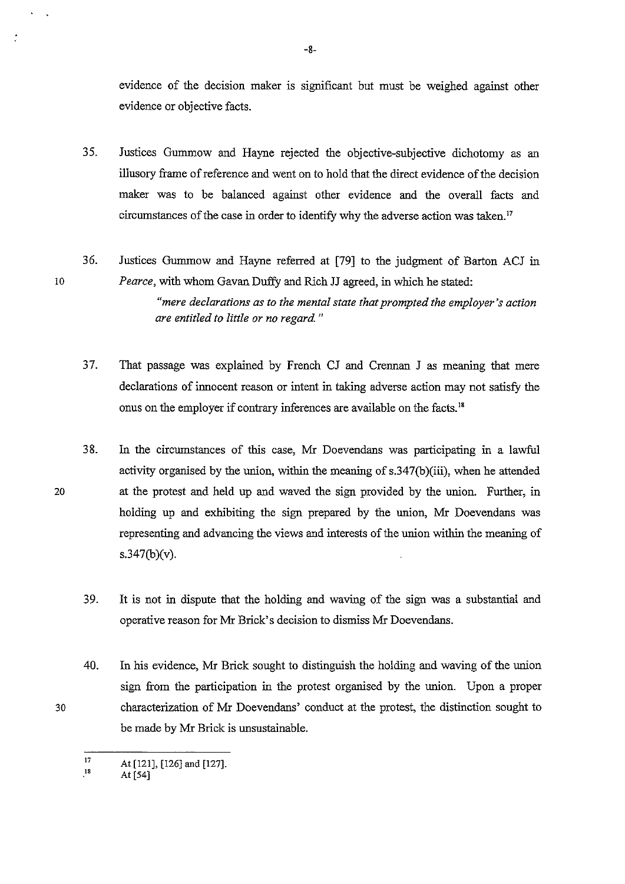evidence of the decision maker is significant but must be weighed against other evidence or objective facts.

- 35. Justices Gummow and Hayne rejected the objective-subjective dichotomy as an illusory frame of reference and went on to hold that the direct evidence of the decision maker was to be balanced against other evidence and the overall facts and circumstances of the case in order to identify why the adverse action was taken."
- 36. Justices Gummow and Hayne referred at [79] to the judgment of Barton ACJ in *Pearce,* with whom Gavan Duffy and Rich JJ agreed, in which he stated:

*"mere declarations as to the mental state that prompted the employer's action are entitled to little or no regard.* "

- 37. That passage was explained by French CJ and Crennan J as meaning that mere declarations of innocent reason or intent in taking adverse action may not satisfy the onus on the employer if contrary inferences are available on the facts.<sup>18</sup>
- 3 8. In the circumstances of this case, Mr Doevendans was participating in a lawful activity organised by the union, within the meaning of s.347(b)(iii), when he attended at the protest and held up and waved the sign provided by the union. Further, in holding up and exhibiting the sign prepared by the union, Mr Doevendans was representing and advancing the views and interests of the union within the meaning of s.347(b)(v).
	- 39. It is not in dispute that the holding and waving of the sign was a substantial and operative reason for Mr Brick's decision to dismiss Mr Doevendans.
- 40. In his evidence, Mr Brick sought to distinguish the holding and waving of the union sign from the participation in the protest organised by the union. Upon a proper characterization of Mr Doevendans' conduct at the protest, the distinction sought to be made by Mr Brick is unsustainable.

10

 $\dot{z}$ 

20

30

-8-

<sup>17</sup>  At [121), (126) and (127).

<sup>18</sup>  At (54)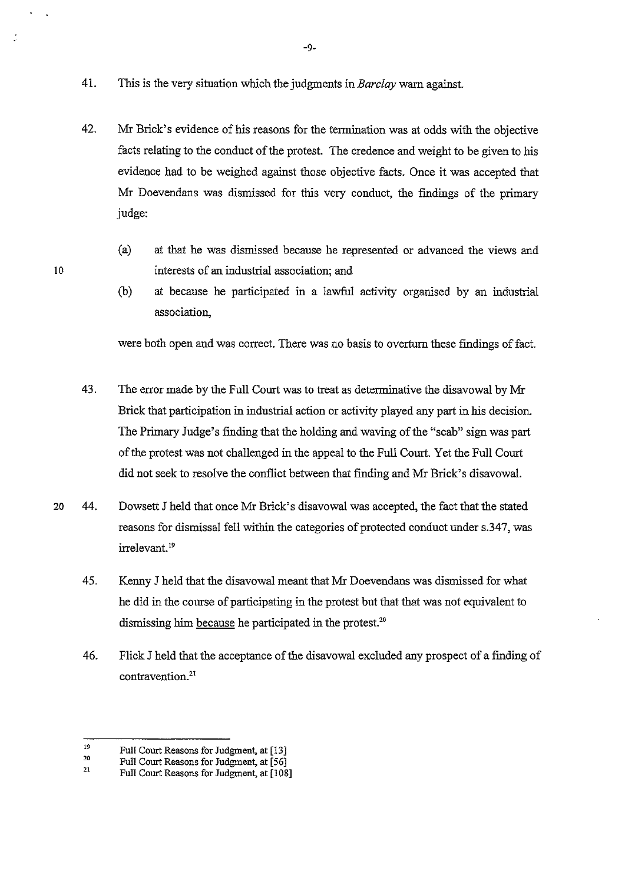- 41. Tbis is the very situation which the judgments in *Barclay* warn against.
- 42. Mr Brick's evidence of his reasons for the termination was at odds with the objective facts relating to the conduct of the protest. The credence and weight to be given to his evidence had to be weighed against those objective facts. Once it was accepted that Mr Doevendans was dismissed for this very conduct, the findings of the primary judge:
	- (a) at that he was dismissed because he represented or advanced the views and interests of an industrial association; and
	- (b) at because he participated in a lawful activity organised by an industrial association,

were both open and was correct. There was no basis to overturn these findings of fact.

- 43. The error made by the Full Court was to treat as determinative the disavowal by Mr Brick that participation in industrial action or activity played any part in his decision. The Primary Judge's finding that the holding and waving of the "scab" sign was part of the protest was not challenged in the appeal to the Full Court. Yet the Full Court did not seek to resolve the conflict between that finding and Mr Brick's disavowal.
- 20 44. Dowsett J held that once Mr Brick's disavowal was accepted, the fact that the stated reasons for dismissal fell within the categories of protected conduct under s.347, was irrelevant.<sup>19</sup>
	- 45. Kenny J held that the disavowal meant that Mr Doevendans was dismissed for what he did in the course of participating in the protest but that that was not equivalent to dismissing him because he participated in the protest.<sup>20</sup>
	- 46. Flick J held that the acceptance of the disavowal excluded any prospect of a finding of contravention.21

10

-9-

<sup>19</sup>  Full Court Reasons for Judgment, at [13]

<sup>20</sup>  Full Court Reasons for Judgment, at [56]

<sup>21</sup>  Full Court Reasons for Judgment, at [108]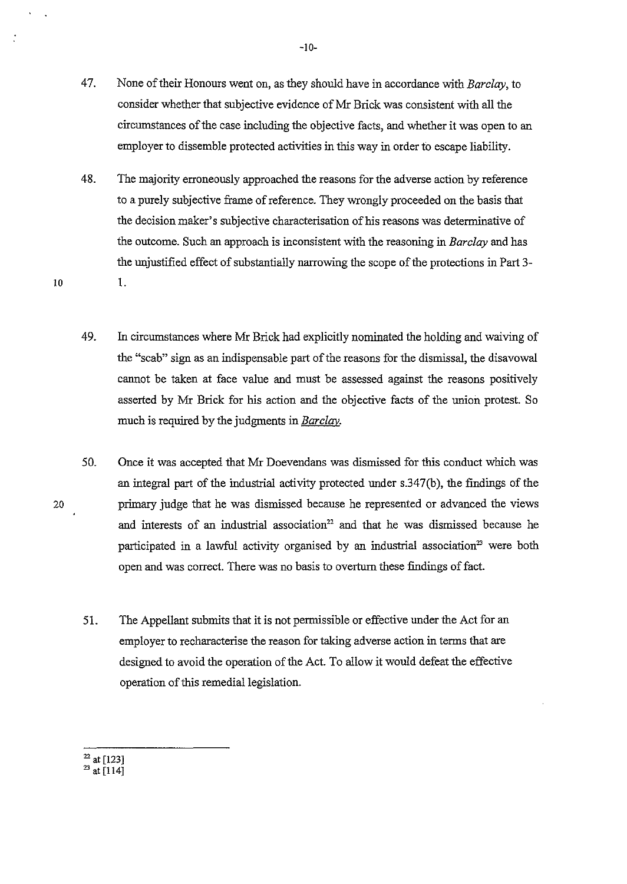- 47. None of their Honours went on, as they should have in accordance with *Barclay,* to consider whether that subjective evidence of Mr Brick was consistent with all the circumstances of the case including the objective facts, and whether it was open to an employer to dissemble protected activities in this way in order to escape liability.
- 48. The majority erroneously approached the reasons for the adverse action by reference to a purely subjective frame of reference. They wrongly proceeded on the basis that the decision maker's subjective characterisation of his reasons was determinative of the outcome. Such an approach is inconsistent with the reasoning in *Barclay* and has the unjustified effect of substantially narrowing the scope of the protections in Part 3-

1.

20

- 49. In circumstances where Mr Brick had explicitly nominated the holding and waiving of the "scab" sign as an indispensable part of the reasons for the dismissal, the disavowal cannot be taken at face value and must be assessed against the reasons positively asserted by Mr Brick for his action and the objective facts of the union protest. So much is required by the judgments in *Barclay.*
- 50. Once it was accepted that Mr Doevendans was dismissed for this conduct which was an integral part of the industrial activity protected under s.347(b), the findings of the primary judge that he was dismissed because he represented or advanced the views and interests of an industrial association<sup>22</sup> and that he was dismissed because he participated in a lawful activity organised by an industrial association<sup>23</sup> were both open and was correct. There was no basis to overturn these findings of fact.
	- 51. The Appellant submits that it is not permissible or effective under the Act for an employer to recharacterise the reason for taking adverse action in terms that are designed to avoid the operation of the Act. To allow it would defeat the effective operation of this remedial legislation.

-10-

 $\frac{22}{23}$  at [123]<br> $\frac{23}{41}$  [114]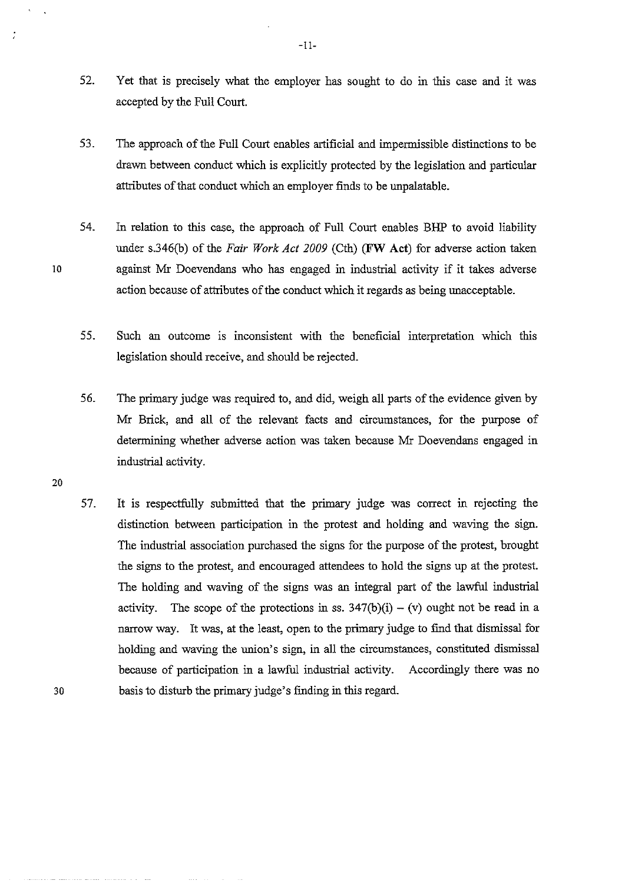- 52. Yet that is precisely what the employer has sought to do in this case and it was accepted by the Full Court.
- 53. The approach of the Full Court enables artificial and impermissible distinctions to be drawn between conduct which is explicitly protected by the legislation and particular attributes of that conduct which an employer finds to be unpalatable.
- 54. In relation to this case, the approach of Full Court enables BHP to avoid liability under s.346(b) of the *Fair Work Act 2009* (Cth) **(FW Act)** for adverse action taken against Mr Doevendans who has engaged in industrial activity if it takes adverse action because of attributes of the conduct which it regards as being unacceptable.
- 55. Such an outcome is inconsistent with the beneficial interpretation which this legislation should receive, and should be rejected.
- 56. The primary judge was required to, and did, weigh all parts of the evidence given by Mr Brick, and all of the relevant facts and circumstances, for the purpose of determining whether adverse action was taken because Mr Doevendans engaged in industrial activity.

10

57. It is respectfully submitted that the primary judge was correct in rejecting the distinction between participation in the protest and holding and waving the sign. The industrial association purchased the signs for the purpose of the protest, brought the signs to the protest, and encouraged attendees to hold the signs up at the protest. The holding and waving of the signs was an integral part of the lawful industrial activity. The scope of the protections in ss.  $347(b)(i) - (v)$  ought not be read in a narrow way. It was, at the least, open to the primary judge to find that dismissal for holding and waving the union's sign, in all the circumstances, constituted dismissal because of participation in a lawful industrial activity. Accordingly there was no basis to disturb the primary judge's finding in this regard.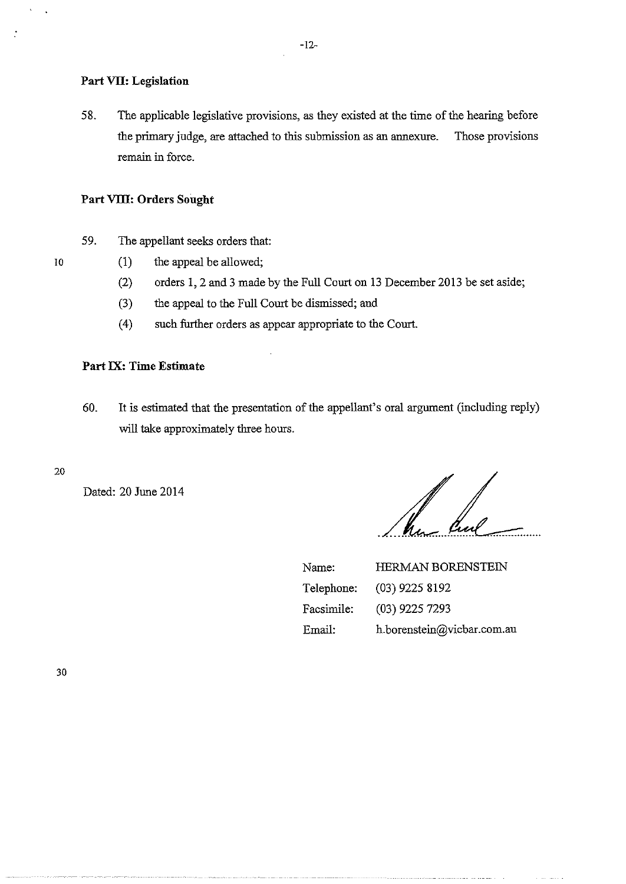### **Part VII: Legislation**

58. The applicable legislative provisions, as they existed at the time of the hearing before the primary judge, are attached to this submission as an annexure. Those provisions remain in force.

#### **Part VIII: Orders Sought**

- 59. The appellant seeks orders that:
	- (1) the appeal be allowed;
		- (2) orders I, 2 and 3 made by the Full Court on 13 December 2013 be set aside;
		- (3) the appeal to the Full Court be dismissed; and
		- ( 4) such further orders as appear appropriate to the Court.

### **Part IX: Time Estimate**

- 60. It is estimated that the presentation of the appellant's oral argument (including reply) will take approximately three hours.
- 20

10

 $\cdot$ 

Dated: 20 June 2014

ha hal

| Name:      | <b>HERMAN BORENSTEIN</b>   |
|------------|----------------------------|
| Telephone: | $(03)$ 9225 8192           |
| Facsimile: | $(03)$ 9225 7293           |
| Email:     | h.borenstein@vicbar.com.au |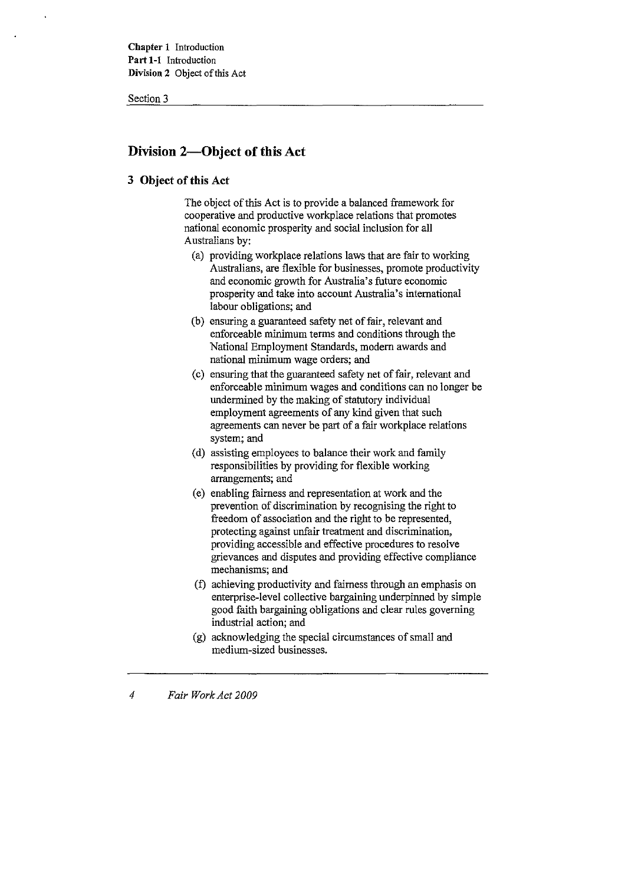Section 3

# **Division 2-0bject of this Act**

### **3 Object of this Act**

The object of this Act is to provide a balanced framework for cooperative and productive workplace relations that promotes national economic prosperity and social inclusion for all Australians by:

- (a) providing workplace relations laws that are fair to working Australians, are flexible for businesses, promote productivity and economic growth for Australia's future economic prosperity and take into account Australia's international labour obligations; and
- (b) ensuring a guaranteed safety net of fair, relevant and enforceable minimum terms and conditions through the National Employment Standards, modem awards and national minimum wage orders; and
- (c) ensuring that the guaranteed safety net of fair, relevant and enforceable minimum wages and conditions can no longer be undermined by the making of statutory individual employment agreements of any kind given that such agreements can never be part of a fair workplace relations system; and
- (d) assisting employees to balance their work and family responsibilities by providing for flexible working arrangements; and
- (e) enabling fairness and representation at work and the prevention of discrimination by recognising the right to freedom of association and the right to be represented, protecting against unfair treatment and discrimination, providing accessible and effective procedures to resolve grievances and disputes and providing effective compliance mechanisms; and
- (f) achieving productivity and fairness through an emphasis on enterprise-level collective bargaining underpinned by simple good faith bargaining obligations and clear rules governing industrial action; and
- (g) acknowledging the special circumstances of small and medium-sized businesses.

#### *4 Fair Work Act 2009*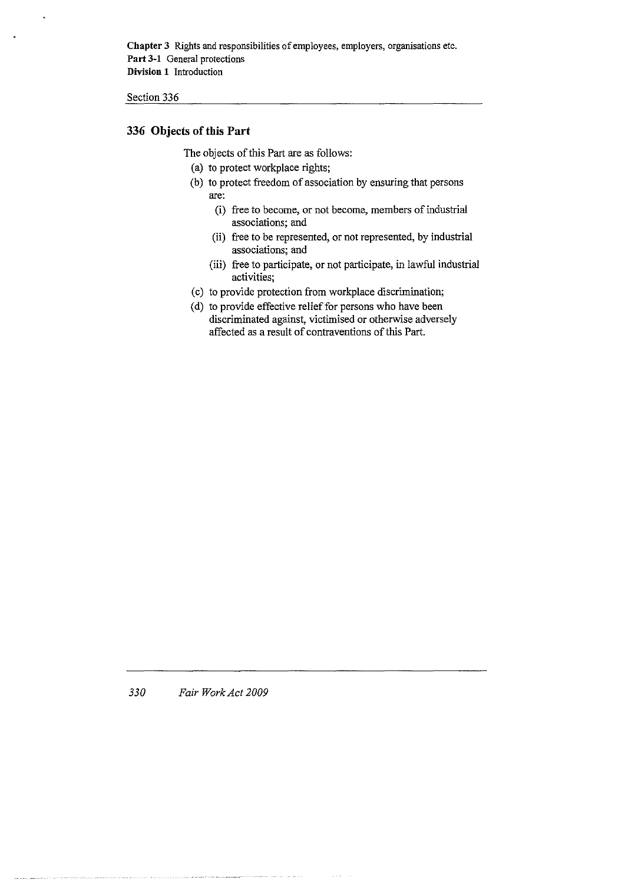**Chapter** 3 Rights and responsibilities of employees, employers, organisations etc. **Part 3-1** General protections **Division 1 Introduction** 

Section 336

### **336 Objects of this Part**

The objects of this Part are as follows:

- (a) to protect workplace rights;
- (b) to protect freedom of association by ensuring that persons are:
	- (i) free to become, or not become, members of industrial associations; and
	- (ii) free to be represented, or not represented, by industrial **associations; and**
	- (iii) free to participate, or not participate, in lawful industrial **activities;**
- (c) to provide protection from workplace discrimination;
- (d) to provide effective relief for persons who have been discriminated against, victimised or otherwise adversely affected as a result of contraventions of this Part.

*330 Fair Work Act 2009*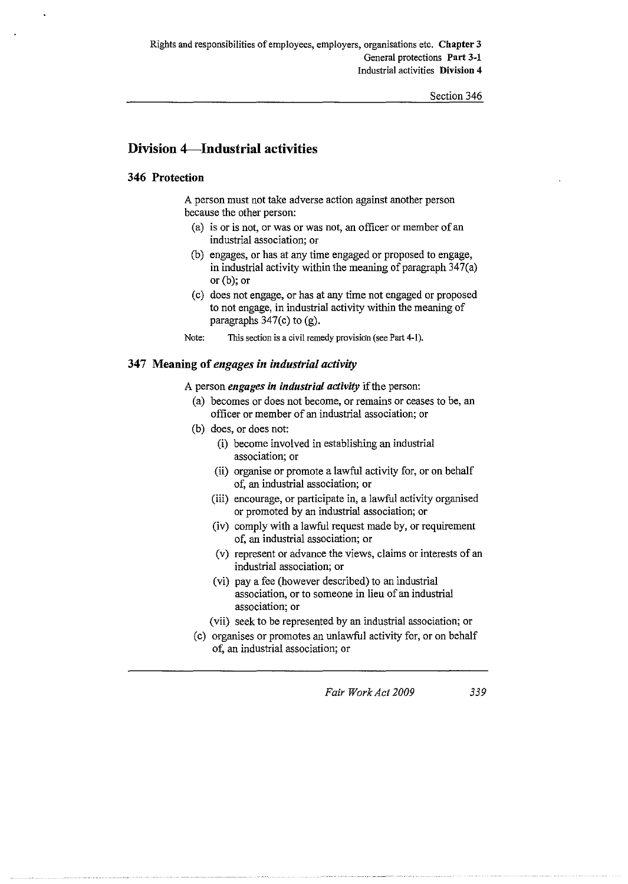# **Division 4-Industrial activities**

### **346 Protection**

A person must not take adverse action against another person because the other person:

- (a) is or is not, or was or was not, an officer or member of an industrial association; or
- (b) engages, or has at any time engaged or proposed to engage, in industrial activity within the meaning of paragraph 347(a) or (b); or
- (c) does not engage, or has at any time not engaged or proposed to not engage, in industrial activity within the meaning of paragraphs 347(c) to (g).
- **Note: This section is a civil remedy provision (see Part 4-1).**

#### **347 Meaning of** *engages in industrial activity*

A person *engages in industrial activity* if the person:

- (a) becomes or does not become, or remains or ceases to be, an officer or member of an industrial association; or
- (b) does, or does not:
	- (i) become involved in establishing an industrial **association; or**
	- (ii) organise or promote a lawful activity for, or on behalf of, an industrial association; or
	- (iii) encourage, or participate in, a lawful activity organised or promoted by an industrial association; or
	- (iv) comply with a lawful request made by, or requirement of, an industrial association; or
	- (v) represent or advance the views, claims or interests of an industrial association; or
	- (vi) pay a fee (however described) to an industrial association, or to someone in lieu of an industrial **association; or**
	- (vii) seek to be represented by an industrial association; or
- (c) organises or promotes an unlawful activity for, or on behalf of, an industrial association; or

*Fair Work Act 2009 339*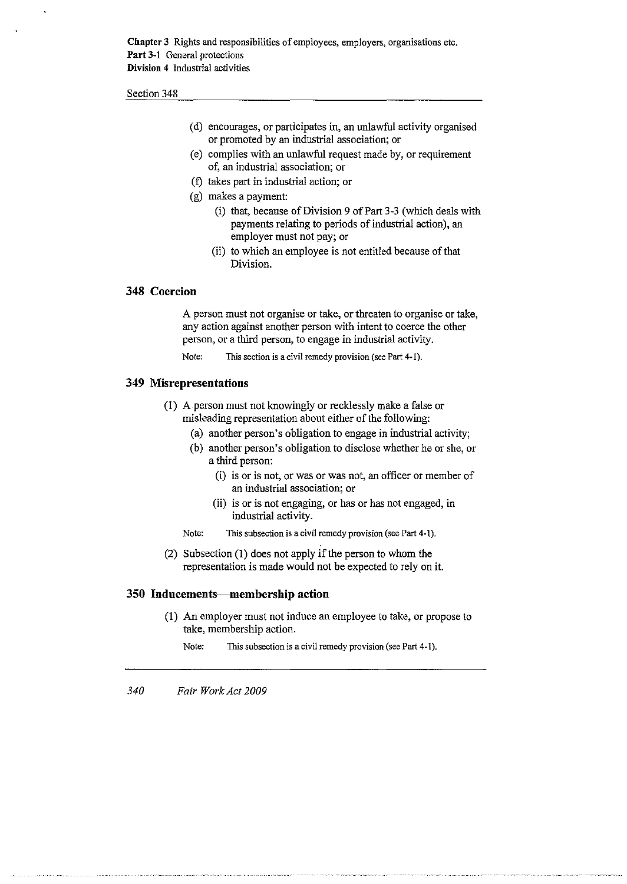Section 348

- (d) encourages, or participates in, an unlawful activity organised or promoted by an industrial association; or
- (e) complies with an unlawful request made by, or requirement of, an industrial association; or
- (f) takes part in industrial action; or
- (g) makes a payment:
	- (i) that, because of Division 9 of Part 3-3 (which deals with payments relating to periods of industrial action), an employer must not pay; or
	- (ii) to which an employee is not entitled because of that Division.

### **348 Coercion**

A person must not organise or take, or threaten to organise or take, any action against another person with intent to coerce the other person, or a third person, to engage in industrial activity.

**Note: This section is a civil remedy provision (see Part 4-1).** 

#### **349 Misrepresentations**

- (!) A person must not knowingly or recklessly make a false or misleading representation about either of the following:
	- (a) another person's obligation to engage in industrial activity;
	- (b) another person's obligation to disclose whether he or she, or a third person:
		- (i) is or is not, or was or was not, an officer or member of an industrial association; or
		- (ii) is or is not engaging, or has or has not engaged, in industrial activity.
	- **Note: This subsection is a civil remedy provision (see Part 4-1).**
- (2) Subsection (I) does not apply if the person to whom the representation is made would not be expected to rely on it.

#### **350 Inducements-membership action**

- (I) An employer must not induce an employee to take, or propose to take, membership action.
	- Note: This subsection is a civil remedy provision (see Part 4-1).

*340 Fair Work Act 2009*